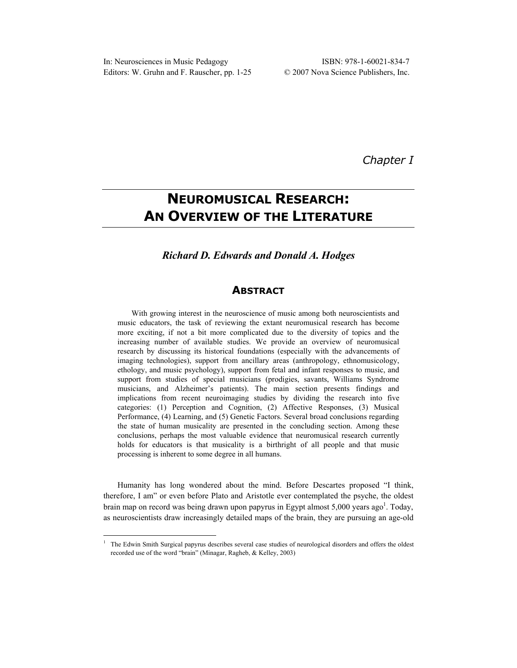*Chapter I* 

# **NEUROMUSICAL RESEARCH: AN OVERVIEW OF THE LITERATURE**

# *Richard D. Edwards and Donald A. Hodges*

# **ABSTRACT**

With growing interest in the neuroscience of music among both neuroscientists and music educators, the task of reviewing the extant neuromusical research has become more exciting, if not a bit more complicated due to the diversity of topics and the increasing number of available studies. We provide an overview of neuromusical research by discussing its historical foundations (especially with the advancements of imaging technologies), support from ancillary areas (anthropology, ethnomusicology, ethology, and music psychology), support from fetal and infant responses to music, and support from studies of special musicians (prodigies, savants, Williams Syndrome musicians, and Alzheimer's patients). The main section presents findings and implications from recent neuroimaging studies by dividing the research into five categories: (1) Perception and Cognition, (2) Affective Responses, (3) Musical Performance, (4) Learning, and (5) Genetic Factors. Several broad conclusions regarding the state of human musicality are presented in the concluding section. Among these conclusions, perhaps the most valuable evidence that neuromusical research currently holds for educators is that musicality is a birthright of all people and that music processing is inherent to some degree in all humans.

Humanity has long wondered about the mind. Before Descartes proposed "I think, therefore, I am" or even before Plato and Aristotle ever contemplated the psyche, the oldest brain map on record was being drawn upon papyrus in Egypt almost  $5,000$  years ago<sup>1</sup>. Today, as neuroscientists draw increasingly detailed maps of the brain, they are pursuing an age-old

1

<sup>1</sup> The Edwin Smith Surgical papyrus describes several case studies of neurological disorders and offers the oldest recorded use of the word "brain" (Minagar, Ragheb, & Kelley, 2003)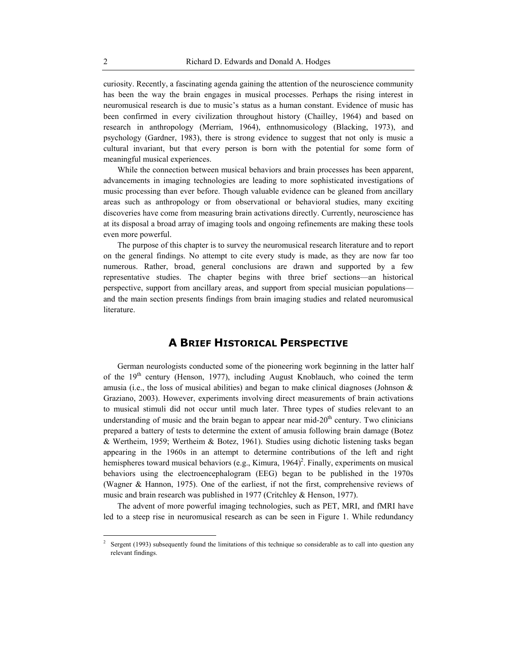curiosity. Recently, a fascinating agenda gaining the attention of the neuroscience community has been the way the brain engages in musical processes. Perhaps the rising interest in neuromusical research is due to music's status as a human constant. Evidence of music has been confirmed in every civilization throughout history (Chailley, 1964) and based on research in anthropology (Merriam, 1964), enthnomusicology (Blacking, 1973), and psychology (Gardner, 1983), there is strong evidence to suggest that not only is music a cultural invariant, but that every person is born with the potential for some form of meaningful musical experiences.

While the connection between musical behaviors and brain processes has been apparent, advancements in imaging technologies are leading to more sophisticated investigations of music processing than ever before. Though valuable evidence can be gleaned from ancillary areas such as anthropology or from observational or behavioral studies, many exciting discoveries have come from measuring brain activations directly. Currently, neuroscience has at its disposal a broad array of imaging tools and ongoing refinements are making these tools even more powerful.

The purpose of this chapter is to survey the neuromusical research literature and to report on the general findings. No attempt to cite every study is made, as they are now far too numerous. Rather, broad, general conclusions are drawn and supported by a few representative studies. The chapter begins with three brief sections—an historical perspective, support from ancillary areas, and support from special musician populations and the main section presents findings from brain imaging studies and related neuromusical literature.

# **A BRIEF HISTORICAL PERSPECTIVE**

German neurologists conducted some of the pioneering work beginning in the latter half of the 19<sup>th</sup> century (Henson, 1977), including August Knoblauch, who coined the term amusia (i.e., the loss of musical abilities) and began to make clinical diagnoses (Johnson  $\&$ Graziano, 2003). However, experiments involving direct measurements of brain activations to musical stimuli did not occur until much later. Three types of studies relevant to an understanding of music and the brain began to appear near mid- $20<sup>th</sup>$  century. Two clinicians prepared a battery of tests to determine the extent of amusia following brain damage (Botez & Wertheim, 1959; Wertheim & Botez, 1961). Studies using dichotic listening tasks began appearing in the 1960s in an attempt to determine contributions of the left and right hemispheres toward musical behaviors (e.g., Kimura,  $1964$ )<sup>2</sup>. Finally, experiments on musical behaviors using the electroencephalogram (EEG) began to be published in the 1970s (Wagner & Hannon, 1975). One of the earliest, if not the first, comprehensive reviews of music and brain research was published in 1977 (Critchley & Henson, 1977).

The advent of more powerful imaging technologies, such as PET, MRI, and fMRI have led to a steep rise in neuromusical research as can be seen in Figure 1. While redundancy

1

<sup>2</sup> Sergent (1993) subsequently found the limitations of this technique so considerable as to call into question any relevant findings.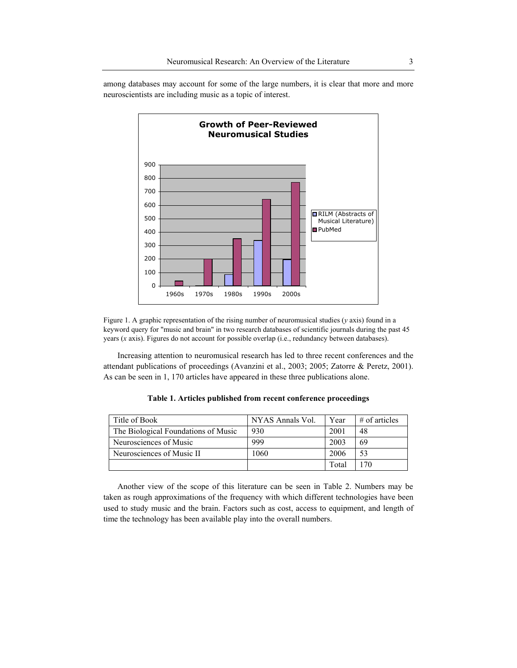**Growth of Peer-Reviewed Neuromusical Studies** 0 100 200 300 400 500 600 700 800 900 1960s 1970s 1980s 1990s 2000s ■RILM (Abstracts of Musical Literature) ■PubMed

among databases may account for some of the large numbers, it is clear that more and more neuroscientists are including music as a topic of interest.

Figure 1. A graphic representation of the rising number of neuromusical studies (*y* axis) found in a keyword query for "music and brain" in two research databases of scientific journals during the past 45 years (*x* axis). Figures do not account for possible overlap (i.e., redundancy between databases).

Increasing attention to neuromusical research has led to three recent conferences and the attendant publications of proceedings (Avanzini et al., 2003; 2005; Zatorre & Peretz, 2001). As can be seen in 1, 170 articles have appeared in these three publications alone.

|  | Title of Book                       | NYAS Annals Vol. | Year  | $#$ of articles |  |
|--|-------------------------------------|------------------|-------|-----------------|--|
|  | The Biological Foundations of Music | 930              | 2001  | 48              |  |
|  | Neurosciences of Music              | 999              | 2003  | 69              |  |
|  | Neurosciences of Music II           | 1060             | 2006  | 53              |  |
|  |                                     |                  | Total | 170             |  |

**Table 1. Articles published from recent conference proceedings** 

Another view of the scope of this literature can be seen in Table 2. Numbers may be taken as rough approximations of the frequency with which different technologies have been used to study music and the brain. Factors such as cost, access to equipment, and length of time the technology has been available play into the overall numbers.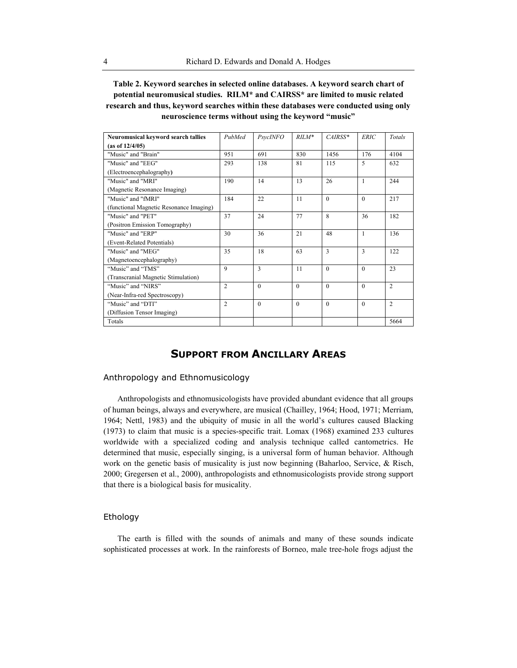**Table 2. Keyword searches in selected online databases. A keyword search chart of potential neuromusical studies. RILM\* and CAIRSS\* are limited to music related research and thus, keyword searches within these databases were conducted using only neuroscience terms without using the keyword "music"** 

| Neuromusical keyword search tallies     | PubMed         | <b>PsycINFO</b> | $RILM*$  | $CAIRSS*$ | <b>ERIC</b>  | Totals         |
|-----------------------------------------|----------------|-----------------|----------|-----------|--------------|----------------|
| (as of 12/4/05)                         |                |                 |          |           |              |                |
| "Music" and "Brain"                     | 951            | 691             | 830      | 1456      | 176          | 4104           |
| "Music" and "EEG"                       | 293            | 138             | 81       | 115       | 5            | 632            |
| (Electroencephalography)                |                |                 |          |           |              |                |
| "Music" and "MRI"                       | 190            | 14              | 13       | 26        | 1            | 244            |
| (Magnetic Resonance Imaging)            |                |                 |          |           |              |                |
| "Music" and "fMRI"                      | 184            | 22              | 11       | $\theta$  | $\Omega$     | 217            |
| (functional Magnetic Resonance Imaging) |                |                 |          |           |              |                |
| "Music" and "PET"                       | 37             | 24              | 77       | 8         | 36           | 182            |
| (Positron Emission Tomography)          |                |                 |          |           |              |                |
| "Music" and "ERP"                       | 30             | 36              | 21       | 48        | $\mathbf{1}$ | 136            |
| (Event-Related Potentials)              |                |                 |          |           |              |                |
| "Music" and "MEG"                       | 35             | 18              | 63       | 3         | 3            | 122            |
| (Magnetoencephalography)                |                |                 |          |           |              |                |
| "Music" and "TMS"                       | 9              | 3               | 11       | $\theta$  | $\Omega$     | 23             |
| (Transcranial Magnetic Stimulation)     |                |                 |          |           |              |                |
| "Music" and "NIRS"                      | $\overline{2}$ | $\theta$        | $\theta$ | $\theta$  | $\theta$     | $\overline{2}$ |
| (Near-Infra-red Spectroscopy)           |                |                 |          |           |              |                |
| "Music" and "DTI"                       | $\overline{c}$ | $\Omega$        | $\Omega$ | $\theta$  | $\Omega$     | $\overline{c}$ |
| (Diffusion Tensor Imaging)              |                |                 |          |           |              |                |
| Totals                                  |                |                 |          |           |              | 5664           |

# **SUPPORT FROM ANCILLARY AREAS**

### Anthropology and Ethnomusicology

Anthropologists and ethnomusicologists have provided abundant evidence that all groups of human beings, always and everywhere, are musical (Chailley, 1964; Hood, 1971; Merriam, 1964; Nettl, 1983) and the ubiquity of music in all the world's cultures caused Blacking (1973) to claim that music is a species-specific trait. Lomax (1968) examined 233 cultures worldwide with a specialized coding and analysis technique called cantometrics. He determined that music, especially singing, is a universal form of human behavior. Although work on the genetic basis of musicality is just now beginning (Baharloo, Service, & Risch, 2000; Gregersen et al., 2000), anthropologists and ethnomusicologists provide strong support that there is a biological basis for musicality.

# Ethology

The earth is filled with the sounds of animals and many of these sounds indicate sophisticated processes at work. In the rainforests of Borneo, male tree-hole frogs adjust the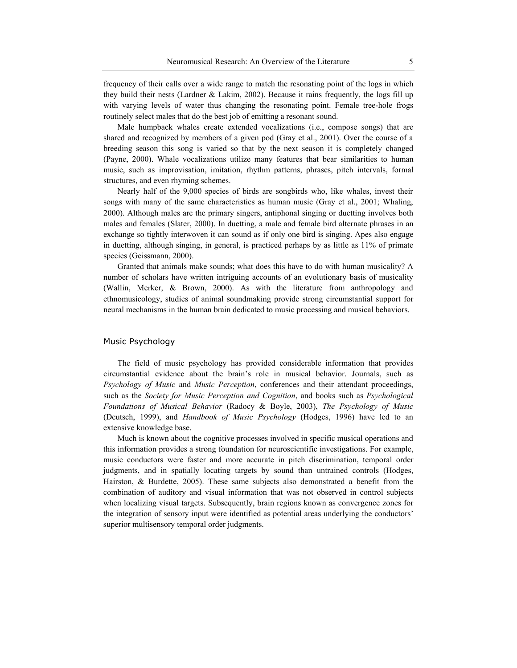frequency of their calls over a wide range to match the resonating point of the logs in which they build their nests (Lardner  $&$  Lakim, 2002). Because it rains frequently, the logs fill up with varying levels of water thus changing the resonating point. Female tree-hole frogs routinely select males that do the best job of emitting a resonant sound.

Male humpback whales create extended vocalizations (i.e., compose songs) that are shared and recognized by members of a given pod (Gray et al., 2001). Over the course of a breeding season this song is varied so that by the next season it is completely changed (Payne, 2000). Whale vocalizations utilize many features that bear similarities to human music, such as improvisation, imitation, rhythm patterns, phrases, pitch intervals, formal structures, and even rhyming schemes.

Nearly half of the 9,000 species of birds are songbirds who, like whales, invest their songs with many of the same characteristics as human music (Gray et al., 2001; Whaling, 2000). Although males are the primary singers, antiphonal singing or duetting involves both males and females (Slater, 2000). In duetting, a male and female bird alternate phrases in an exchange so tightly interwoven it can sound as if only one bird is singing. Apes also engage in duetting, although singing, in general, is practiced perhaps by as little as 11% of primate species (Geissmann, 2000).

Granted that animals make sounds; what does this have to do with human musicality? A number of scholars have written intriguing accounts of an evolutionary basis of musicality (Wallin, Merker, & Brown, 2000). As with the literature from anthropology and ethnomusicology, studies of animal soundmaking provide strong circumstantial support for neural mechanisms in the human brain dedicated to music processing and musical behaviors.

#### Music Psychology

The field of music psychology has provided considerable information that provides circumstantial evidence about the brain's role in musical behavior. Journals, such as *Psychology of Music* and *Music Perception*, conferences and their attendant proceedings, such as the *Society for Music Perception and Cognition*, and books such as *Psychological Foundations of Musical Behavior* (Radocy & Boyle, 2003), *The Psychology of Music*  (Deutsch, 1999), and *Handbook of Music Psychology* (Hodges, 1996) have led to an extensive knowledge base.

Much is known about the cognitive processes involved in specific musical operations and this information provides a strong foundation for neuroscientific investigations. For example, music conductors were faster and more accurate in pitch discrimination, temporal order judgments, and in spatially locating targets by sound than untrained controls (Hodges, Hairston, & Burdette, 2005). These same subjects also demonstrated a benefit from the combination of auditory and visual information that was not observed in control subjects when localizing visual targets. Subsequently, brain regions known as convergence zones for the integration of sensory input were identified as potential areas underlying the conductors' superior multisensory temporal order judgments.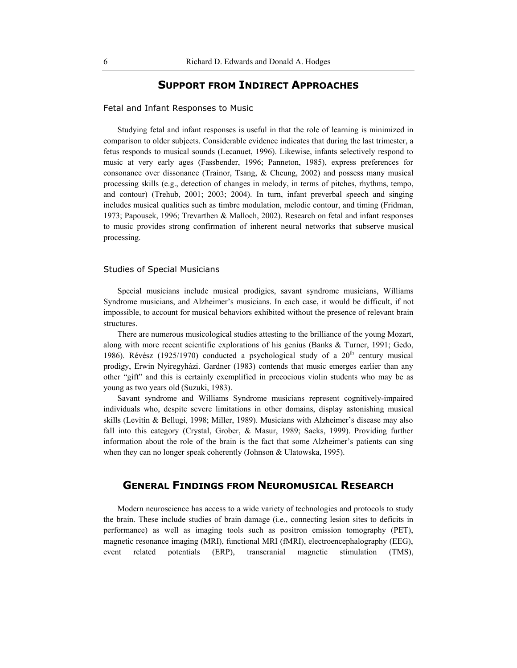# **SUPPORT FROM INDIRECT APPROACHES**

#### Fetal and Infant Responses to Music

Studying fetal and infant responses is useful in that the role of learning is minimized in comparison to older subjects. Considerable evidence indicates that during the last trimester, a fetus responds to musical sounds (Lecanuet, 1996). Likewise, infants selectively respond to music at very early ages (Fassbender, 1996; Panneton, 1985), express preferences for consonance over dissonance (Trainor, Tsang, & Cheung, 2002) and possess many musical processing skills (e.g., detection of changes in melody, in terms of pitches, rhythms, tempo, and contour) (Trehub, 2001; 2003; 2004). In turn, infant preverbal speech and singing includes musical qualities such as timbre modulation, melodic contour, and timing (Fridman, 1973; Papousek, 1996; Trevarthen & Malloch, 2002). Research on fetal and infant responses to music provides strong confirmation of inherent neural networks that subserve musical processing.

#### Studies of Special Musicians

Special musicians include musical prodigies, savant syndrome musicians, Williams Syndrome musicians, and Alzheimer's musicians. In each case, it would be difficult, if not impossible, to account for musical behaviors exhibited without the presence of relevant brain structures.

There are numerous musicological studies attesting to the brilliance of the young Mozart, along with more recent scientific explorations of his genius (Banks & Turner, 1991; Gedo, 1986). Révész (1925/1970) conducted a psychological study of a  $20<sup>th</sup>$  century musical prodigy, Erwin Nyiregyházi. Gardner (1983) contends that music emerges earlier than any other "gift" and this is certainly exemplified in precocious violin students who may be as young as two years old (Suzuki, 1983).

Savant syndrome and Williams Syndrome musicians represent cognitively-impaired individuals who, despite severe limitations in other domains, display astonishing musical skills (Levitin & Bellugi, 1998; Miller, 1989). Musicians with Alzheimer's disease may also fall into this category (Crystal, Grober, & Masur, 1989; Sacks, 1999). Providing further information about the role of the brain is the fact that some Alzheimer's patients can sing when they can no longer speak coherently (Johnson & Ulatowska, 1995).

# **GENERAL FINDINGS FROM NEUROMUSICAL RESEARCH**

Modern neuroscience has access to a wide variety of technologies and protocols to study the brain. These include studies of brain damage (i.e., connecting lesion sites to deficits in performance) as well as imaging tools such as positron emission tomography (PET), magnetic resonance imaging (MRI), functional MRI (fMRI), electroencephalography (EEG), event related potentials (ERP), transcranial magnetic stimulation (TMS),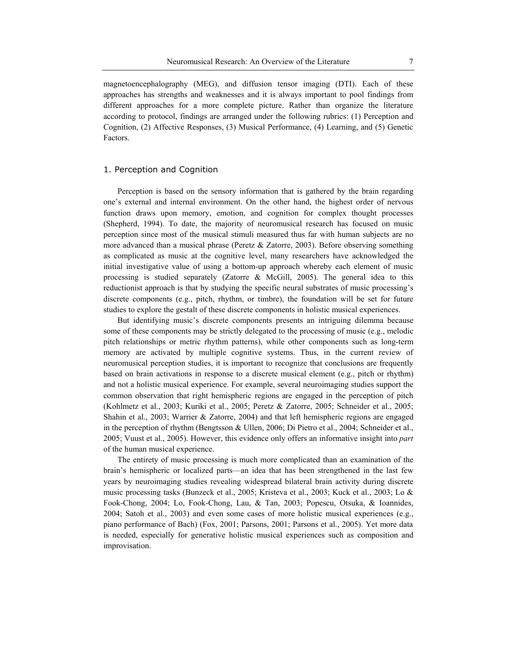magnetoencephalography (MEG), and diffusion tensor imaging (DTI). Each of these approaches has strengths and weaknesses and it is always important to pool findings from different approaches for a more complete picture. Rather than organize the literature according to protocol, findings are arranged under the following rubrics: (1) Perception and Cognition, (2) Affective Responses, (3) Musical Performance, (4) Learning, and (5) Genetic Factors.

#### 1. Perception and Cognition

Perception is based on the sensory information that is gathered by the brain regarding one's external and internal environment. On the other hand, the highest order of nervous function draws upon memory, emotion, and cognition for complex thought processes (Shepherd, 1994). To date, the majority of neuromusical research has focused on music perception since most of the musical stimuli measured thus far with human subjects are no more advanced than a musical phrase (Peretz  $\&$  Zatorre, 2003). Before observing something as complicated as music at the cognitive level, many researchers have acknowledged the initial investigative value of using a bottom-up approach whereby each element of music processing is studied separately (Zatorre & McGill, 2005). The general idea to this reductionist approach is that by studying the specific neural substrates of music processing's discrete components (e.g., pitch, rhythm, or timbre), the foundation will be set for future studies to explore the gestalt of these discrete components in holistic musical experiences.

But identifying music's discrete components presents an intriguing dilemma because some of these components may be strictly delegated to the processing of music (e.g., melodic pitch relationships or metric rhythm patterns), while other components such as long-term memory are activated by multiple cognitive systems. Thus, in the current review of neuromusical perception studies, it is important to recognize that conclusions are frequently based on brain activations in response to a discrete musical element (e.g., pitch or rhythm) and not a holistic musical experience. For example, several neuroimaging studies support the common observation that right hemispheric regions are engaged in the perception of pitch (Kohlmetz et al., 2003; Kuriki et al., 2005; Peretz & Zatorre, 2005; Schneider et al., 2005; Shahin et al., 2003; Warrier & Zatorre, 2004) and that left hemispheric regions are engaged in the perception of rhythm (Bengtsson & Ullen, 2006; Di Pietro et al., 2004; Schneider et al., 2005; Vuust et al., 2005). However, this evidence only offers an informative insight into *part* of the human musical experience.

The entirety of music processing is much more complicated than an examination of the brain's hemispheric or localized parts—an idea that has been strengthened in the last few years by neuroimaging studies revealing widespread bilateral brain activity during discrete music processing tasks (Bunzeck et al., 2005; Kristeva et al., 2003; Kuck et al., 2003; Lo & Fook-Chong, 2004; Lo, Fook-Chong, Lau, & Tan, 2003; Popescu, Otsuka, & Ioannides, 2004; Satoh et al., 2003) and even some cases of more holistic musical experiences (e.g., piano performance of Bach) (Fox, 2001; Parsons, 2001; Parsons et al., 2005). Yet more data is needed, especially for generative holistic musical experiences such as composition and improvisation.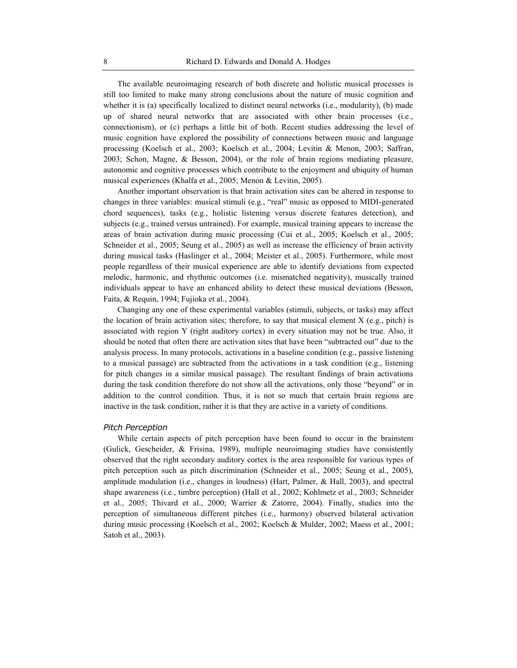The available neuroimaging research of both discrete and holistic musical processes is still too limited to make many strong conclusions about the nature of music cognition and whether it is (a) specifically localized to distinct neural networks (i.e., modularity), (b) made up of shared neural networks that are associated with other brain processes (i.e., connectionism), or (c) perhaps a little bit of both. Recent studies addressing the level of music cognition have explored the possibility of connections between music and language processing (Koelsch et al., 2003; Koelsch et al., 2004; Levitin & Menon, 2003; Saffran, 2003; Schon, Magne, & Besson, 2004), or the role of brain regions mediating pleasure, autonomic and cognitive processes which contribute to the enjoyment and ubiquity of human musical experiences (Khalfa et al., 2005; Menon & Levitin, 2005).

Another important observation is that brain activation sites can be altered in response to changes in three variables: musical stimuli (e.g., "real" music as opposed to MIDI-generated chord sequences), tasks (e.g., holistic listening versus discrete features detection), and subjects (e.g., trained versus untrained). For example, musical training appears to increase the areas of brain activation during music processing (Cui et al., 2005; Koelsch et al., 2005; Schneider et al., 2005; Seung et al., 2005) as well as increase the efficiency of brain activity during musical tasks (Haslinger et al., 2004; Meister et al., 2005). Furthermore, while most people regardless of their musical experience are able to identify deviations from expected melodic, harmonic, and rhythmic outcomes (i.e. mismatched negativity), musically trained individuals appear to have an enhanced ability to detect these musical deviations (Besson, Faita, & Requin, 1994; Fujioka et al., 2004).

Changing any one of these experimental variables (stimuli, subjects, or tasks) may affect the location of brain activation sites; therefore, to say that musical element  $X$  (e.g., pitch) is associated with region Y (right auditory cortex) in every situation may not be true. Also, it should be noted that often there are activation sites that have been "subtracted out" due to the analysis process. In many protocols, activations in a baseline condition (e.g., passive listening to a musical passage) are subtracted from the activations in a task condition (e.g., listening for pitch changes in a similar musical passage). The resultant findings of brain activations during the task condition therefore do not show all the activations, only those "beyond" or in addition to the control condition. Thus, it is not so much that certain brain regions are inactive in the task condition, rather it is that they are active in a variety of conditions.

#### *Pitch Perception*

While certain aspects of pitch perception have been found to occur in the brainstem (Gulick, Gescheider, & Frisina, 1989), multiple neuroimaging studies have consistently observed that the right secondary auditory cortex is the area responsible for various types of pitch perception such as pitch discrimination (Schneider et al., 2005; Seung et al., 2005), amplitude modulation (i.e., changes in loudness) (Hart, Palmer, & Hall, 2003), and spectral shape awareness (i.e., timbre perception) (Hall et al., 2002; Kohlmetz et al., 2003; Schneider et al., 2005; Thivard et al., 2000; Warrier & Zatorre, 2004). Finally, studies into the perception of simultaneous different pitches (i.e., harmony) observed bilateral activation during music processing (Koelsch et al., 2002; Koelsch & Mulder, 2002; Maess et al., 2001; Satoh et al., 2003).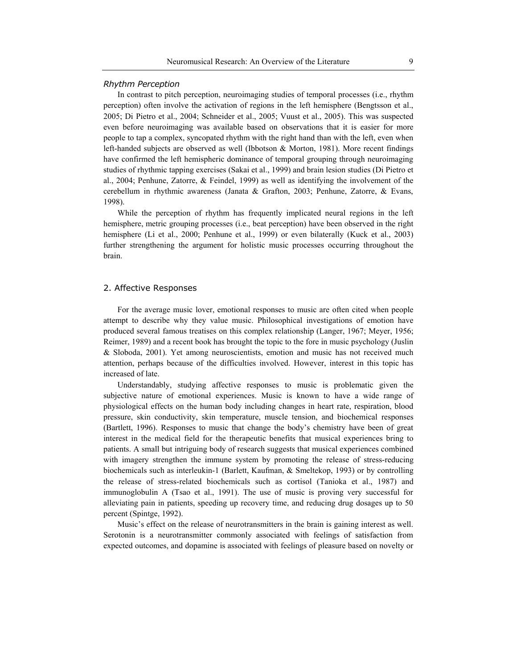#### *Rhythm Perception*

In contrast to pitch perception, neuroimaging studies of temporal processes (i.e., rhythm perception) often involve the activation of regions in the left hemisphere (Bengtsson et al., 2005; Di Pietro et al., 2004; Schneider et al., 2005; Vuust et al., 2005). This was suspected even before neuroimaging was available based on observations that it is easier for more people to tap a complex, syncopated rhythm with the right hand than with the left, even when left-handed subjects are observed as well (Ibbotson & Morton, 1981). More recent findings have confirmed the left hemispheric dominance of temporal grouping through neuroimaging studies of rhythmic tapping exercises (Sakai et al., 1999) and brain lesion studies (Di Pietro et al., 2004; Penhune, Zatorre, & Feindel, 1999) as well as identifying the involvement of the cerebellum in rhythmic awareness (Janata & Grafton, 2003; Penhune, Zatorre, & Evans, 1998).

While the perception of rhythm has frequently implicated neural regions in the left hemisphere, metric grouping processes (i.e., beat perception) have been observed in the right hemisphere (Li et al., 2000; Penhune et al., 1999) or even bilaterally (Kuck et al., 2003) further strengthening the argument for holistic music processes occurring throughout the brain.

#### 2. Affective Responses

For the average music lover, emotional responses to music are often cited when people attempt to describe why they value music. Philosophical investigations of emotion have produced several famous treatises on this complex relationship (Langer, 1967; Meyer, 1956; Reimer, 1989) and a recent book has brought the topic to the fore in music psychology (Juslin & Sloboda, 2001). Yet among neuroscientists, emotion and music has not received much attention, perhaps because of the difficulties involved. However, interest in this topic has increased of late.

Understandably, studying affective responses to music is problematic given the subjective nature of emotional experiences. Music is known to have a wide range of physiological effects on the human body including changes in heart rate, respiration, blood pressure, skin conductivity, skin temperature, muscle tension, and biochemical responses (Bartlett, 1996). Responses to music that change the body's chemistry have been of great interest in the medical field for the therapeutic benefits that musical experiences bring to patients. A small but intriguing body of research suggests that musical experiences combined with imagery strengthen the immune system by promoting the release of stress-reducing biochemicals such as interleukin-1 (Barlett, Kaufman, & Smeltekop, 1993) or by controlling the release of stress-related biochemicals such as cortisol (Tanioka et al., 1987) and immunoglobulin A (Tsao et al., 1991). The use of music is proving very successful for alleviating pain in patients, speeding up recovery time, and reducing drug dosages up to 50 percent (Spintge, 1992).

Music's effect on the release of neurotransmitters in the brain is gaining interest as well. Serotonin is a neurotransmitter commonly associated with feelings of satisfaction from expected outcomes, and dopamine is associated with feelings of pleasure based on novelty or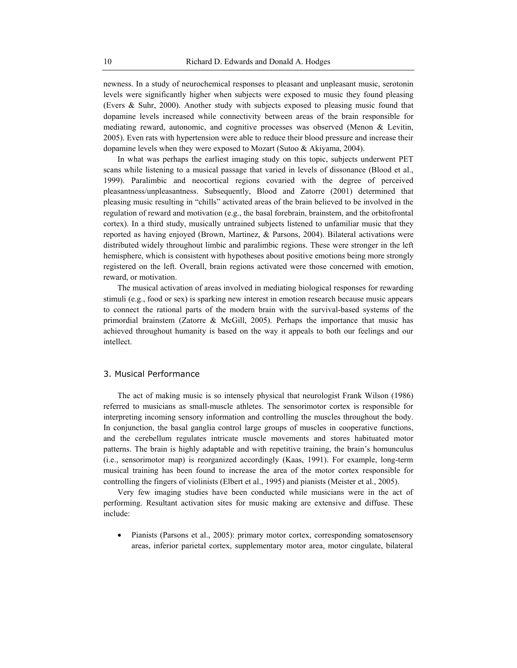newness. In a study of neurochemical responses to pleasant and unpleasant music, serotonin levels were significantly higher when subjects were exposed to music they found pleasing (Evers & Suhr, 2000). Another study with subjects exposed to pleasing music found that dopamine levels increased while connectivity between areas of the brain responsible for mediating reward, autonomic, and cognitive processes was observed (Menon & Levitin, 2005). Even rats with hypertension were able to reduce their blood pressure and increase their dopamine levels when they were exposed to Mozart (Sutoo & Akiyama, 2004).

In what was perhaps the earliest imaging study on this topic, subjects underwent PET scans while listening to a musical passage that varied in levels of dissonance (Blood et al., 1999). Paralimbic and neocortical regions covaried with the degree of perceived pleasantness/unpleasantness. Subsequently, Blood and Zatorre (2001) determined that pleasing music resulting in "chills" activated areas of the brain believed to be involved in the regulation of reward and motivation (e.g., the basal forebrain, brainstem, and the orbitofrontal cortex). In a third study, musically untrained subjects listened to unfamiliar music that they reported as having enjoyed (Brown, Martinez, & Parsons, 2004). Bilateral activations were distributed widely throughout limbic and paralimbic regions. These were stronger in the left hemisphere, which is consistent with hypotheses about positive emotions being more strongly registered on the left. Overall, brain regions activated were those concerned with emotion, reward, or motivation.

The musical activation of areas involved in mediating biological responses for rewarding stimuli (e.g., food or sex) is sparking new interest in emotion research because music appears to connect the rational parts of the modern brain with the survival-based systems of the primordial brainstem (Zatorre & McGill, 2005). Perhaps the importance that music has achieved throughout humanity is based on the way it appeals to both our feelings and our intellect.

#### 3. Musical Performance

The act of making music is so intensely physical that neurologist Frank Wilson (1986) referred to musicians as small-muscle athletes. The sensorimotor cortex is responsible for interpreting incoming sensory information and controlling the muscles throughout the body. In conjunction, the basal ganglia control large groups of muscles in cooperative functions, and the cerebellum regulates intricate muscle movements and stores habituated motor patterns. The brain is highly adaptable and with repetitive training, the brain's homunculus (i.e., sensorimotor map) is reorganized accordingly (Kaas, 1991). For example, long-term musical training has been found to increase the area of the motor cortex responsible for controlling the fingers of violinists (Elbert et al., 1995) and pianists (Meister et al., 2005).

Very few imaging studies have been conducted while musicians were in the act of performing. Resultant activation sites for music making are extensive and diffuse. These include:

• Pianists (Parsons et al., 2005): primary motor cortex, corresponding somatosensory areas, inferior parietal cortex, supplementary motor area, motor cingulate, bilateral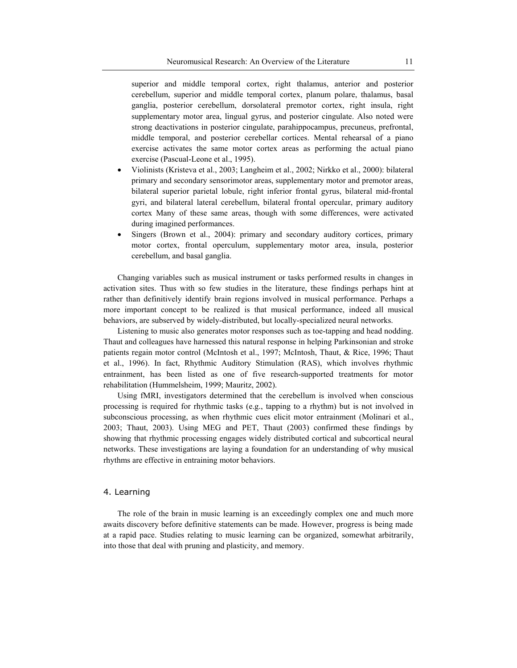superior and middle temporal cortex, right thalamus, anterior and posterior cerebellum, superior and middle temporal cortex, planum polare, thalamus, basal ganglia, posterior cerebellum, dorsolateral premotor cortex, right insula, right supplementary motor area, lingual gyrus, and posterior cingulate. Also noted were strong deactivations in posterior cingulate, parahippocampus, precuneus, prefrontal, middle temporal, and posterior cerebellar cortices. Mental rehearsal of a piano exercise activates the same motor cortex areas as performing the actual piano exercise (Pascual-Leone et al., 1995).

- x Violinists (Kristeva et al., 2003; Langheim et al., 2002; Nirkko et al., 2000): bilateral primary and secondary sensorimotor areas, supplementary motor and premotor areas, bilateral superior parietal lobule, right inferior frontal gyrus, bilateral mid-frontal gyri, and bilateral lateral cerebellum, bilateral frontal opercular, primary auditory cortex Many of these same areas, though with some differences, were activated during imagined performances.
- x Singers (Brown et al., 2004): primary and secondary auditory cortices, primary motor cortex, frontal operculum, supplementary motor area, insula, posterior cerebellum, and basal ganglia.

Changing variables such as musical instrument or tasks performed results in changes in activation sites. Thus with so few studies in the literature, these findings perhaps hint at rather than definitively identify brain regions involved in musical performance. Perhaps a more important concept to be realized is that musical performance, indeed all musical behaviors, are subserved by widely-distributed, but locally-specialized neural networks.

Listening to music also generates motor responses such as toe-tapping and head nodding. Thaut and colleagues have harnessed this natural response in helping Parkinsonian and stroke patients regain motor control (McIntosh et al., 1997; McIntosh, Thaut, & Rice, 1996; Thaut et al., 1996). In fact, Rhythmic Auditory Stimulation (RAS), which involves rhythmic entrainment, has been listed as one of five research-supported treatments for motor rehabilitation (Hummelsheim, 1999; Mauritz, 2002).

Using fMRI, investigators determined that the cerebellum is involved when conscious processing is required for rhythmic tasks (e.g., tapping to a rhythm) but is not involved in subconscious processing, as when rhythmic cues elicit motor entrainment (Molinari et al., 2003; Thaut, 2003). Using MEG and PET, Thaut (2003) confirmed these findings by showing that rhythmic processing engages widely distributed cortical and subcortical neural networks. These investigations are laying a foundation for an understanding of why musical rhythms are effective in entraining motor behaviors.

#### 4. Learning

The role of the brain in music learning is an exceedingly complex one and much more awaits discovery before definitive statements can be made. However, progress is being made at a rapid pace. Studies relating to music learning can be organized, somewhat arbitrarily, into those that deal with pruning and plasticity, and memory.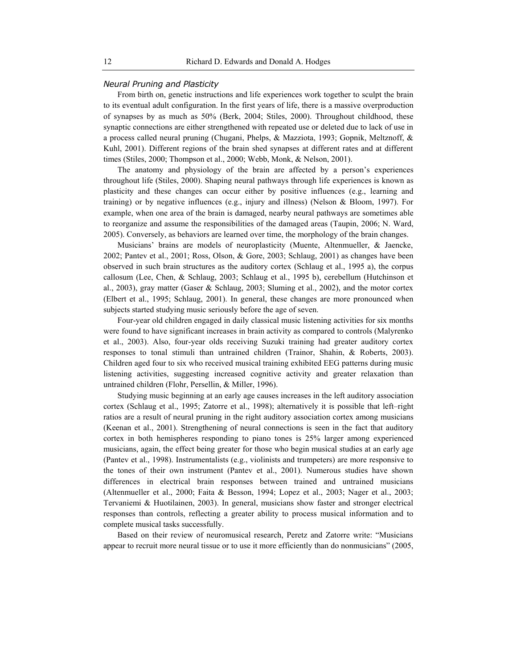#### *Neural Pruning and Plasticity*

From birth on, genetic instructions and life experiences work together to sculpt the brain to its eventual adult configuration. In the first years of life, there is a massive overproduction of synapses by as much as 50% (Berk, 2004; Stiles, 2000). Throughout childhood, these synaptic connections are either strengthened with repeated use or deleted due to lack of use in a process called neural pruning (Chugani, Phelps, & Mazziota, 1993; Gopnik, Meltznoff, & Kuhl, 2001). Different regions of the brain shed synapses at different rates and at different times (Stiles, 2000; Thompson et al., 2000; Webb, Monk, & Nelson, 2001).

The anatomy and physiology of the brain are affected by a person's experiences throughout life (Stiles, 2000). Shaping neural pathways through life experiences is known as plasticity and these changes can occur either by positive influences (e.g., learning and training) or by negative influences (e.g., injury and illness) (Nelson & Bloom, 1997). For example, when one area of the brain is damaged, nearby neural pathways are sometimes able to reorganize and assume the responsibilities of the damaged areas (Taupin, 2006; N. Ward, 2005). Conversely, as behaviors are learned over time, the morphology of the brain changes.

Musicians' brains are models of neuroplasticity (Muente, Altenmueller, & Jaencke, 2002; Pantev et al., 2001; Ross, Olson, & Gore, 2003; Schlaug, 2001) as changes have been observed in such brain structures as the auditory cortex (Schlaug et al., 1995 a), the corpus callosum (Lee, Chen, & Schlaug, 2003; Schlaug et al., 1995 b), cerebellum (Hutchinson et al., 2003), gray matter (Gaser & Schlaug, 2003; Sluming et al., 2002), and the motor cortex (Elbert et al., 1995; Schlaug, 2001). In general, these changes are more pronounced when subjects started studying music seriously before the age of seven.

Four-year old children engaged in daily classical music listening activities for six months were found to have significant increases in brain activity as compared to controls (Malyrenko et al., 2003). Also, four-year olds receiving Suzuki training had greater auditory cortex responses to tonal stimuli than untrained children (Trainor, Shahin, & Roberts, 2003). Children aged four to six who received musical training exhibited EEG patterns during music listening activities, suggesting increased cognitive activity and greater relaxation than untrained children (Flohr, Persellin, & Miller, 1996).

Studying music beginning at an early age causes increases in the left auditory association cortex (Schlaug et al., 1995; Zatorre et al., 1998); alternatively it is possible that left–right ratios are a result of neural pruning in the right auditory association cortex among musicians (Keenan et al., 2001). Strengthening of neural connections is seen in the fact that auditory cortex in both hemispheres responding to piano tones is 25% larger among experienced musicians, again, the effect being greater for those who begin musical studies at an early age (Pantev et al., 1998). Instrumentalists (e.g., violinists and trumpeters) are more responsive to the tones of their own instrument (Pantev et al., 2001). Numerous studies have shown differences in electrical brain responses between trained and untrained musicians (Altenmueller et al., 2000; Faita & Besson, 1994; Lopez et al., 2003; Nager et al., 2003; Tervaniemi & Huotilainen, 2003). In general, musicians show faster and stronger electrical responses than controls, reflecting a greater ability to process musical information and to complete musical tasks successfully.

Based on their review of neuromusical research, Peretz and Zatorre write: "Musicians appear to recruit more neural tissue or to use it more efficiently than do nonmusicians" (2005,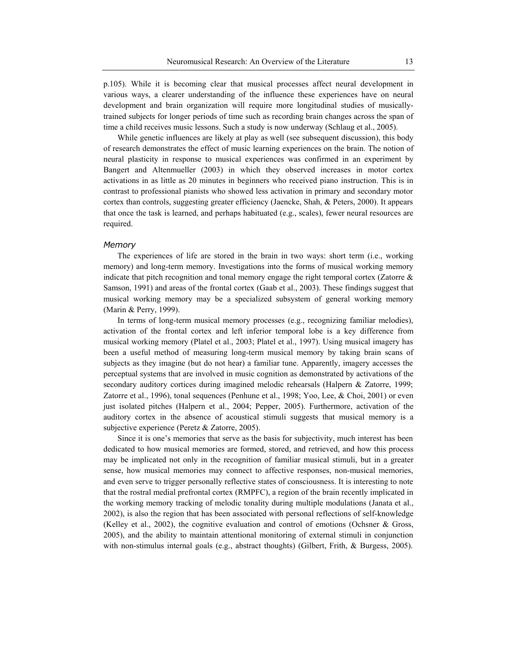p.105). While it is becoming clear that musical processes affect neural development in various ways, a clearer understanding of the influence these experiences have on neural development and brain organization will require more longitudinal studies of musicallytrained subjects for longer periods of time such as recording brain changes across the span of time a child receives music lessons. Such a study is now underway (Schlaug et al., 2005).

While genetic influences are likely at play as well (see subsequent discussion), this body of research demonstrates the effect of music learning experiences on the brain. The notion of neural plasticity in response to musical experiences was confirmed in an experiment by Bangert and Altenmueller (2003) in which they observed increases in motor cortex activations in as little as 20 minutes in beginners who received piano instruction. This is in contrast to professional pianists who showed less activation in primary and secondary motor cortex than controls, suggesting greater efficiency (Jaencke, Shah, & Peters, 2000). It appears that once the task is learned, and perhaps habituated (e.g., scales), fewer neural resources are required.

#### *Memory*

The experiences of life are stored in the brain in two ways: short term (i.e., working memory) and long-term memory. Investigations into the forms of musical working memory indicate that pitch recognition and tonal memory engage the right temporal cortex (Zatorre & Samson, 1991) and areas of the frontal cortex (Gaab et al., 2003). These findings suggest that musical working memory may be a specialized subsystem of general working memory (Marin & Perry, 1999).

In terms of long-term musical memory processes (e.g., recognizing familiar melodies), activation of the frontal cortex and left inferior temporal lobe is a key difference from musical working memory (Platel et al., 2003; Platel et al., 1997). Using musical imagery has been a useful method of measuring long-term musical memory by taking brain scans of subjects as they imagine (but do not hear) a familiar tune. Apparently, imagery accesses the perceptual systems that are involved in music cognition as demonstrated by activations of the secondary auditory cortices during imagined melodic rehearsals (Halpern & Zatorre, 1999; Zatorre et al., 1996), tonal sequences (Penhune et al., 1998; Yoo, Lee, & Choi, 2001) or even just isolated pitches (Halpern et al., 2004; Pepper, 2005). Furthermore, activation of the auditory cortex in the absence of acoustical stimuli suggests that musical memory is a subjective experience (Peretz & Zatorre, 2005).

Since it is one's memories that serve as the basis for subjectivity, much interest has been dedicated to how musical memories are formed, stored, and retrieved, and how this process may be implicated not only in the recognition of familiar musical stimuli, but in a greater sense, how musical memories may connect to affective responses, non-musical memories, and even serve to trigger personally reflective states of consciousness. It is interesting to note that the rostral medial prefrontal cortex (RMPFC), a region of the brain recently implicated in the working memory tracking of melodic tonality during multiple modulations (Janata et al., 2002), is also the region that has been associated with personal reflections of self-knowledge (Kelley et al., 2002), the cognitive evaluation and control of emotions (Ochsner & Gross, 2005), and the ability to maintain attentional monitoring of external stimuli in conjunction with non-stimulus internal goals (e.g., abstract thoughts) (Gilbert, Frith, & Burgess, 2005).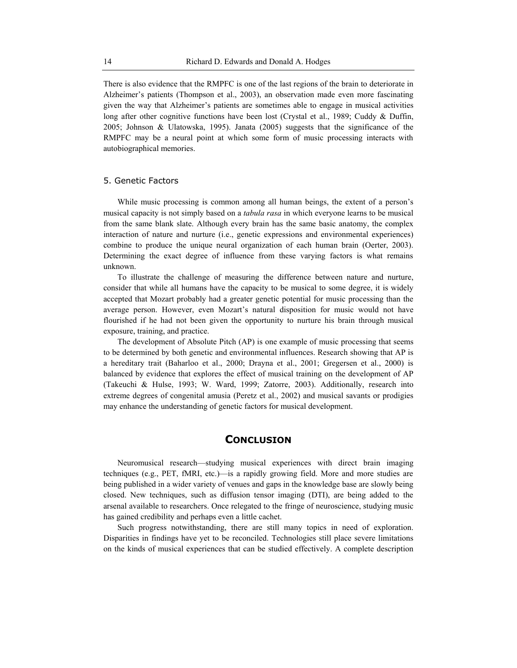There is also evidence that the RMPFC is one of the last regions of the brain to deteriorate in Alzheimer's patients (Thompson et al., 2003), an observation made even more fascinating given the way that Alzheimer's patients are sometimes able to engage in musical activities long after other cognitive functions have been lost (Crystal et al., 1989; Cuddy & Duffin, 2005; Johnson & Ulatowska, 1995). Janata (2005) suggests that the significance of the RMPFC may be a neural point at which some form of music processing interacts with autobiographical memories.

#### 5. Genetic Factors

While music processing is common among all human beings, the extent of a person's musical capacity is not simply based on a *tabula rasa* in which everyone learns to be musical from the same blank slate. Although every brain has the same basic anatomy, the complex interaction of nature and nurture (i.e., genetic expressions and environmental experiences) combine to produce the unique neural organization of each human brain (Oerter, 2003). Determining the exact degree of influence from these varying factors is what remains unknown.

To illustrate the challenge of measuring the difference between nature and nurture, consider that while all humans have the capacity to be musical to some degree, it is widely accepted that Mozart probably had a greater genetic potential for music processing than the average person. However, even Mozart's natural disposition for music would not have flourished if he had not been given the opportunity to nurture his brain through musical exposure, training, and practice.

The development of Absolute Pitch (AP) is one example of music processing that seems to be determined by both genetic and environmental influences. Research showing that AP is a hereditary trait (Baharloo et al., 2000; Drayna et al., 2001; Gregersen et al., 2000) is balanced by evidence that explores the effect of musical training on the development of AP (Takeuchi & Hulse, 1993; W. Ward, 1999; Zatorre, 2003). Additionally, research into extreme degrees of congenital amusia (Peretz et al., 2002) and musical savants or prodigies may enhance the understanding of genetic factors for musical development.

### **CONCLUSION**

Neuromusical research—studying musical experiences with direct brain imaging techniques (e.g., PET, fMRI, etc.)—is a rapidly growing field. More and more studies are being published in a wider variety of venues and gaps in the knowledge base are slowly being closed. New techniques, such as diffusion tensor imaging (DTI), are being added to the arsenal available to researchers. Once relegated to the fringe of neuroscience, studying music has gained credibility and perhaps even a little cachet.

Such progress notwithstanding, there are still many topics in need of exploration. Disparities in findings have yet to be reconciled. Technologies still place severe limitations on the kinds of musical experiences that can be studied effectively. A complete description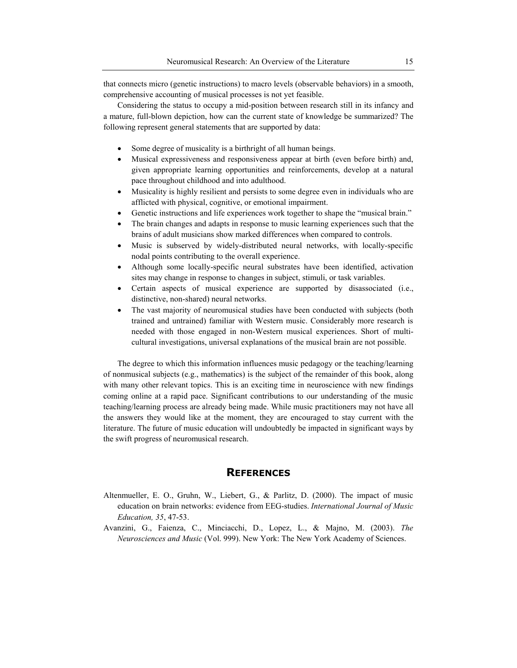that connects micro (genetic instructions) to macro levels (observable behaviors) in a smooth, comprehensive accounting of musical processes is not yet feasible.

Considering the status to occupy a mid-position between research still in its infancy and a mature, full-blown depiction, how can the current state of knowledge be summarized? The following represent general statements that are supported by data:

- Some degree of musicality is a birthright of all human beings.
- x Musical expressiveness and responsiveness appear at birth (even before birth) and, given appropriate learning opportunities and reinforcements, develop at a natural pace throughout childhood and into adulthood.
- Musicality is highly resilient and persists to some degree even in individuals who are afflicted with physical, cognitive, or emotional impairment.
- Genetic instructions and life experiences work together to shape the "musical brain."
- The brain changes and adapts in response to music learning experiences such that the brains of adult musicians show marked differences when compared to controls.
- Music is subserved by widely-distributed neural networks, with locally-specific nodal points contributing to the overall experience.
- Although some locally-specific neural substrates have been identified, activation sites may change in response to changes in subject, stimuli, or task variables.
- Certain aspects of musical experience are supported by disassociated (i.e., distinctive, non-shared) neural networks.
- The vast majority of neuromusical studies have been conducted with subjects (both trained and untrained) familiar with Western music. Considerably more research is needed with those engaged in non-Western musical experiences. Short of multicultural investigations, universal explanations of the musical brain are not possible.

The degree to which this information influences music pedagogy or the teaching/learning of nonmusical subjects (e.g., mathematics) is the subject of the remainder of this book, along with many other relevant topics. This is an exciting time in neuroscience with new findings coming online at a rapid pace. Significant contributions to our understanding of the music teaching/learning process are already being made. While music practitioners may not have all the answers they would like at the moment, they are encouraged to stay current with the literature. The future of music education will undoubtedly be impacted in significant ways by the swift progress of neuromusical research.

# **REFERENCES**

- Altenmueller, E. O., Gruhn, W., Liebert, G., & Parlitz, D. (2000). The impact of music education on brain networks: evidence from EEG-studies. *International Journal of Music Education, 35*, 47-53.
- Avanzini, G., Faienza, C., Minciacchi, D., Lopez, L., & Majno, M. (2003). *The Neurosciences and Music* (Vol. 999). New York: The New York Academy of Sciences.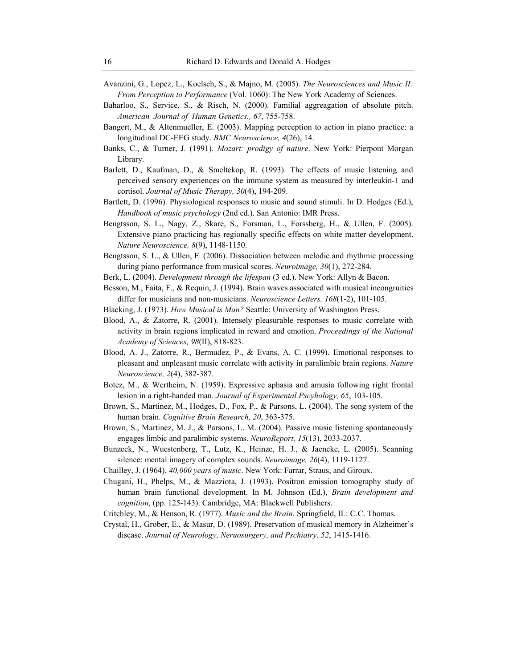- Avanzini, G., Lopez, L., Koelsch, S., & Majno, M. (2005). *The Neurosciences and Music II: From Perception to Performance* (Vol. 1060): The New York Academy of Sciences.
- Baharloo, S., Service, S., & Risch, N. (2000). Familial aggreagation of absolute pitch. *American Journal of Human Genetics., 67*, 755-758.
- Bangert, M., & Altenmueller, E. (2003). Mapping perception to action in piano practice: a longitudinal DC-EEG study. *BMC Neuroscience, 4*(26), 14.
- Banks, C., & Turner, J. (1991). *Mozart: prodigy of nature*. New York: Pierpont Morgan Library.
- Barlett, D., Kaufman, D., & Smeltekop, R. (1993). The effects of music listening and perceived sensory experiences on the immune system as measured by interleukin-1 and cortisol. *Journal of Music Therapy, 30*(4), 194-209.
- Bartlett, D. (1996). Physiological responses to music and sound stimuli. In D. Hodges (Ed.), *Handbook of music psychology* (2nd ed.). San Antonio: IMR Press.
- Bengtsson, S. L., Nagy, Z., Skare, S., Forsman, L., Forssberg, H., & Ullen, F. (2005). Extensive piano practicing has regionally specific effects on white matter development. *Nature Neuroscience, 8*(9), 1148-1150.
- Bengtsson, S. L., & Ullen, F. (2006). Dissociation between melodic and rhythmic processing during piano performance from musical scores. *Neuroimage, 30*(1), 272-284.
- Berk, L. (2004). *Development through the lifespan* (3 ed.). New York: Allyn & Bacon.
- Besson, M., Faita, F., & Requin, J. (1994). Brain waves associated with musical incongruities differ for musicians and non-musicians. *Neuroscience Letters, 168*(1-2), 101-105.
- Blacking, J. (1973). *How Musical is Man?* Seattle: University of Washington Press.
- Blood, A., & Zatorre, R. (2001). Intensely pleasurable responses to music correlate with activity in brain regions implicated in reward and emotion. *Proceedings of the National Academy of Sciences, 98*(II), 818-823.
- Blood, A. J., Zatorre, R., Bermudez, P., & Evans, A. C. (1999). Emotional responses to pleasant and unpleasant music correlate with activity in paralimbic brain regions. *Nature Neuroscience, 2*(4), 382-387.
- Botez, M., & Wertheim, N. (1959). Expressive aphasia and amusia following right frontal lesion in a right-handed man. *Journal of Experimental Pscyhology, 65*, 103-105.
- Brown, S., Martinez, M., Hodges, D., Fox, P., & Parsons, L. (2004). The song system of the human brain. *Cognitive Brain Research, 20*, 363-375.
- Brown, S., Martinez, M. J., & Parsons, L. M. (2004). Passive music listening spontaneously engages limbic and paralimbic systems. *NeuroReport, 15*(13), 2033-2037.
- Bunzeck, N., Wuestenberg, T., Lutz, K., Heinze, H. J., & Jaencke, L. (2005). Scanning silence: mental imagery of complex sounds. *Neuroimage, 26*(4), 1119-1127.
- Chailley, J. (1964). *40,000 years of music*. New York: Farrar, Straus, and Giroux.
- Chugani, H., Phelps, M., & Mazziota, J. (1993). Positron emission tomography study of human brain functional development. In M. Johnson (Ed.), *Brain development and cognition,* (pp. 125-143). Cambridge, MA: Blackwell Publishers.
- Critchley, M., & Henson, R. (1977). *Music and the Brain*. Springfield, IL: C.C. Thomas.
- Crystal, H., Grober, E., & Masur, D. (1989). Preservation of musical memory in Alzheimer's disease. *Journal of Neurology, Neruosurgery, and Pschiatry, 52*, 1415-1416.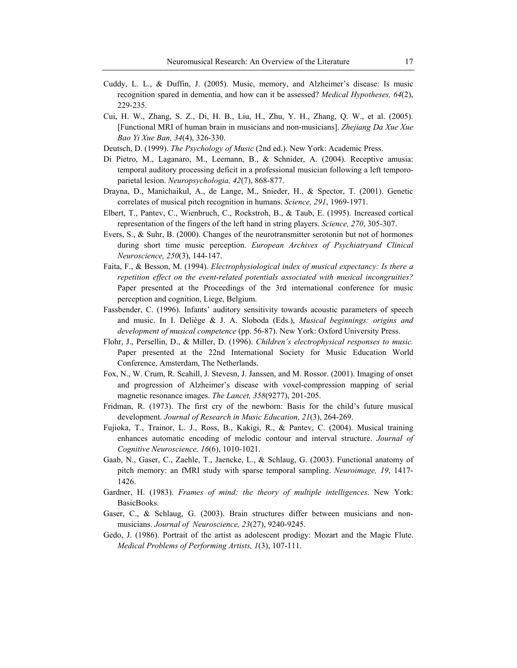- Cuddy, L. L., & Duffin, J. (2005). Music, memory, and Alzheimer's disease: Is music recognition spared in dementia, and how can it be assessed? *Medical Hypotheses, 64*(2), 229-235.
- Cui, H. W., Zhang, S. Z., Di, H. B., Liu, H., Zhu, Y. H., Zhang, Q. W., et al. (2005). [Functional MRI of human brain in musicians and non-musicians]. *Zhejiang Da Xue Xue Bao Yi Xue Ban, 34*(4), 326-330.
- Deutsch, D. (1999). *The Psychology of Music* (2nd ed.). New York: Academic Press.
- Di Pietro, M., Laganaro, M., Leemann, B., & Schnider, A. (2004). Receptive amusia: temporal auditory processing deficit in a professional musician following a left temporoparietal lesion. *Neuropsychologia, 42*(7), 868-877.
- Drayna, D., Manichaikul, A., de Lange, M., Snieder, H., & Spector, T. (2001). Genetic correlates of musical pitch recognition in humans. *Science, 291*, 1969-1971.
- Elbert, T., Pantev, C., Wienbruch, C., Rockstroh, B., & Taub, E. (1995). Increased cortical representation of the fingers of the left hand in string players. *Science, 270*, 305-307.
- Evers, S., & Suhr, B. (2000). Changes of the neurotransmitter serotonin but not of hormones during short time music perception. *European Archives of Psychiatryand Clinical Neuroscience, 250*(3), 144-147.
- Faita, F., & Besson, M. (1994). *Electrophysiological index of musical expectancy: Is there a repetition effect on the event-related potentials associated with musical incongruities?* Paper presented at the Proceedings of the 3rd international conference for music perception and cognition, Liege, Belgium.
- Fassbender, C. (1996). Infants' auditory sensitivity towards acoustic parameters of speech and music. In I. Deliège & J. A. Sloboda (Eds.), *Musical beginnings: origins and development of musical competence* (pp. 56-87). New York: Oxford University Press.
- Flohr, J., Persellin, D., & Miller, D. (1996). *Children's electrophysical responses to music.* Paper presented at the 22nd International Society for Music Education World Conference, Amsterdam, The Netherlands.
- Fox, N., W. Crum, R. Scahill, J. Stevesn, J. Janssen, and M. Rossor. (2001). Imaging of onset and progression of Alzheimer's disease with voxel-compression mapping of serial magnetic resonance images. *The Lancet, 358*(9277), 201-205.
- Fridman, R. (1973). The first cry of the newborn: Basis for the child's future musical development. *Journal of Research in Music Education, 21*(3), 264-269.
- Fujioka, T., Trainor, L. J., Ross, B., Kakigi, R., & Pantev, C. (2004). Musical training enhances automatic encoding of melodic contour and interval structure. *Journal of Cognitive Neuroscience, 16*(6), 1010-1021.
- Gaab, N., Gaser, C., Zaehle, T., Jaencke, L., & Schlaug, G. (2003). Functional anatomy of pitch memory: an fMRI study with sparse temporal sampling. *Neuroimage, 19*, 1417- 1426.
- Gardner, H. (1983). *Frames of mind: the theory of multiple intelligences*. New York: BasicBooks.
- Gaser, C., & Schlaug, G. (2003). Brain structures differ between musicians and nonmusicians. *Journal of Neuroscience, 23*(27), 9240-9245.
- Gedo, J. (1986). Portrait of the artist as adolescent prodigy: Mozart and the Magic Flute. *Medical Problems of Performing Artists, 1*(3), 107-111.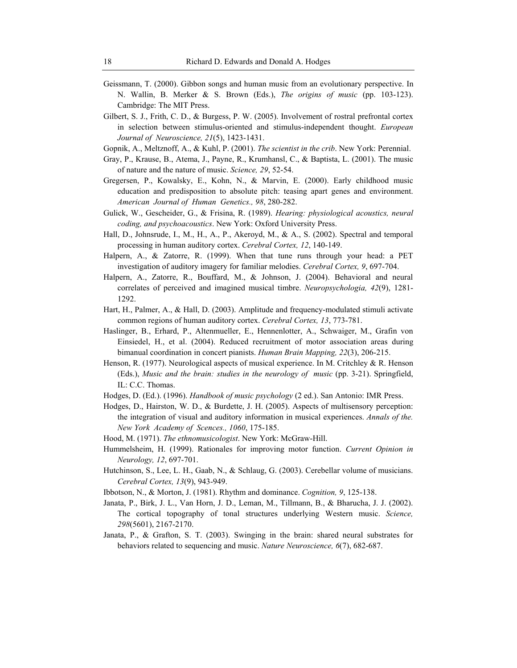- Geissmann, T. (2000). Gibbon songs and human music from an evolutionary perspective. In N. Wallin, B. Merker & S. Brown (Eds.), *The origins of music* (pp. 103-123). Cambridge: The MIT Press.
- Gilbert, S. J., Frith, C. D., & Burgess, P. W. (2005). Involvement of rostral prefrontal cortex in selection between stimulus-oriented and stimulus-independent thought. *European Journal of Neuroscience, 21*(5), 1423-1431.
- Gopnik, A., Meltznoff, A., & Kuhl, P. (2001). *The scientist in the crib*. New York: Perennial.
- Gray, P., Krause, B., Atema, J., Payne, R., Krumhansl, C., & Baptista, L. (2001). The music of nature and the nature of music. *Science, 29*, 52-54.
- Gregersen, P., Kowalsky, E., Kohn, N., & Marvin, E. (2000). Early childhood music education and predisposition to absolute pitch: teasing apart genes and environment. *American Journal of Human Genetics., 98*, 280-282.
- Gulick, W., Gescheider, G., & Frisina, R. (1989). *Hearing: physiological acoustics, neural coding, and psychoacoustics*. New York: Oxford University Press.
- Hall, D., Johnsrude, I., M., H., A., P., Akeroyd, M., & A., S. (2002). Spectral and temporal processing in human auditory cortex. *Cerebral Cortex, 12*, 140-149.
- Halpern, A., & Zatorre, R. (1999). When that tune runs through your head: a PET investigation of auditory imagery for familiar melodies. *Cerebral Cortex, 9*, 697-704.
- Halpern, A., Zatorre, R., Bouffard, M., & Johnson, J. (2004). Behavioral and neural correlates of perceived and imagined musical timbre. *Neuropsychologia, 42*(9), 1281- 1292.
- Hart, H., Palmer, A., & Hall, D. (2003). Amplitude and frequency-modulated stimuli activate common regions of human auditory cortex. *Cerebral Cortex, 13*, 773-781.
- Haslinger, B., Erhard, P., Altenmueller, E., Hennenlotter, A., Schwaiger, M., Grafin von Einsiedel, H., et al. (2004). Reduced recruitment of motor association areas during bimanual coordination in concert pianists. *Human Brain Mapping, 22*(3), 206-215.
- Henson, R. (1977). Neurological aspects of musical experience. In M. Critchley & R. Henson (Eds.), *Music and the brain: studies in the neurology of music* (pp. 3-21). Springfield, IL: C.C. Thomas.
- Hodges, D. (Ed.). (1996). *Handbook of music psychology* (2 ed.). San Antonio: IMR Press.
- Hodges, D., Hairston, W. D., & Burdette, J. H. (2005). Aspects of multisensory perception: the integration of visual and auditory information in musical experiences. *Annals of the. New York Academy of Scences., 1060*, 175-185.
- Hood, M. (1971). *The ethnomusicologist*. New York: McGraw-Hill.
- Hummelsheim, H. (1999). Rationales for improving motor function. *Current Opinion in Neurology, 12*, 697-701.
- Hutchinson, S., Lee, L. H., Gaab, N., & Schlaug, G. (2003). Cerebellar volume of musicians. *Cerebral Cortex, 13*(9), 943-949.
- Ibbotson, N., & Morton, J. (1981). Rhythm and dominance. *Cognition, 9*, 125-138.
- Janata, P., Birk, J. L., Van Horn, J. D., Leman, M., Tillmann, B., & Bharucha, J. J. (2002). The cortical topography of tonal structures underlying Western music. *Science, 298*(5601), 2167-2170.
- Janata, P., & Grafton, S. T. (2003). Swinging in the brain: shared neural substrates for behaviors related to sequencing and music. *Nature Neuroscience, 6*(7), 682-687.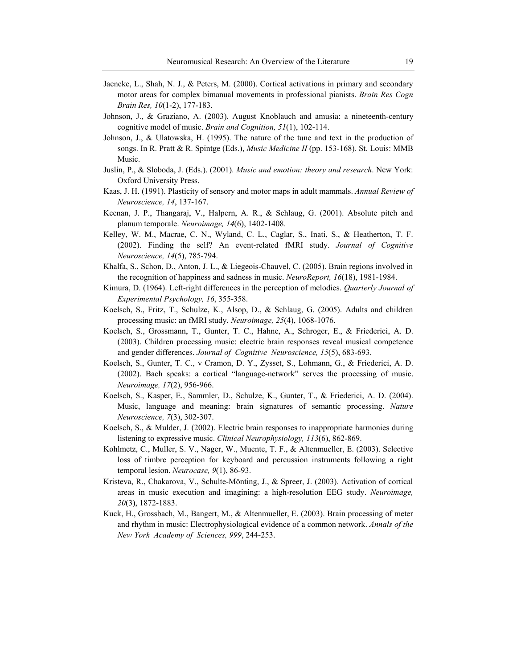- Jaencke, L., Shah, N. J., & Peters, M. (2000). Cortical activations in primary and secondary motor areas for complex bimanual movements in professional pianists. *Brain Res Cogn Brain Res, 10*(1-2), 177-183.
- Johnson, J., & Graziano, A. (2003). August Knoblauch and amusia: a nineteenth-century cognitive model of music. *Brain and Cognition, 51*(1), 102-114.
- Johnson, J., & Ulatowska, H. (1995). The nature of the tune and text in the production of songs. In R. Pratt & R. Spintge (Eds.), *Music Medicine II* (pp. 153-168). St. Louis: MMB Music.
- Juslin, P., & Sloboda, J. (Eds.). (2001). *Music and emotion: theory and research*. New York: Oxford University Press.
- Kaas, J. H. (1991). Plasticity of sensory and motor maps in adult mammals. *Annual Review of Neuroscience, 14*, 137-167.
- Keenan, J. P., Thangaraj, V., Halpern, A. R., & Schlaug, G. (2001). Absolute pitch and planum temporale. *Neuroimage, 14*(6), 1402-1408.
- Kelley, W. M., Macrae, C. N., Wyland, C. L., Caglar, S., Inati, S., & Heatherton, T. F. (2002). Finding the self? An event-related fMRI study. *Journal of Cognitive Neuroscience, 14*(5), 785-794.
- Khalfa, S., Schon, D., Anton, J. L., & Liegeois-Chauvel, C. (2005). Brain regions involved in the recognition of happiness and sadness in music. *NeuroReport, 16*(18), 1981-1984.
- Kimura, D. (1964). Left-right differences in the perception of melodies. *Quarterly Journal of Experimental Psychology, 16*, 355-358.
- Koelsch, S., Fritz, T., Schulze, K., Alsop, D., & Schlaug, G. (2005). Adults and children processing music: an fMRI study. *Neuroimage, 25*(4), 1068-1076.
- Koelsch, S., Grossmann, T., Gunter, T. C., Hahne, A., Schroger, E., & Friederici, A. D. (2003). Children processing music: electric brain responses reveal musical competence and gender differences. *Journal of Cognitive Neuroscience, 15*(5), 683-693.
- Koelsch, S., Gunter, T. C., v Cramon, D. Y., Zysset, S., Lohmann, G., & Friederici, A. D. (2002). Bach speaks: a cortical "language-network" serves the processing of music. *Neuroimage, 17*(2), 956-966.
- Koelsch, S., Kasper, E., Sammler, D., Schulze, K., Gunter, T., & Friederici, A. D. (2004). Music, language and meaning: brain signatures of semantic processing. *Nature Neuroscience, 7*(3), 302-307.
- Koelsch, S., & Mulder, J. (2002). Electric brain responses to inappropriate harmonies during listening to expressive music. *Clinical Neurophysiology, 113*(6), 862-869.
- Kohlmetz, C., Muller, S. V., Nager, W., Muente, T. F., & Altenmueller, E. (2003). Selective loss of timbre perception for keyboard and percussion instruments following a right temporal lesion. *Neurocase, 9*(1), 86-93.
- Kristeva, R., Chakarova, V., Schulte-Mönting, J., & Spreer, J. (2003). Activation of cortical areas in music execution and imagining: a high-resolution EEG study. *Neuroimage, 20*(3), 1872-1883.
- Kuck, H., Grossbach, M., Bangert, M., & Altenmueller, E. (2003). Brain processing of meter and rhythm in music: Electrophysiological evidence of a common network. *Annals of the New York Academy of Sciences, 999*, 244-253.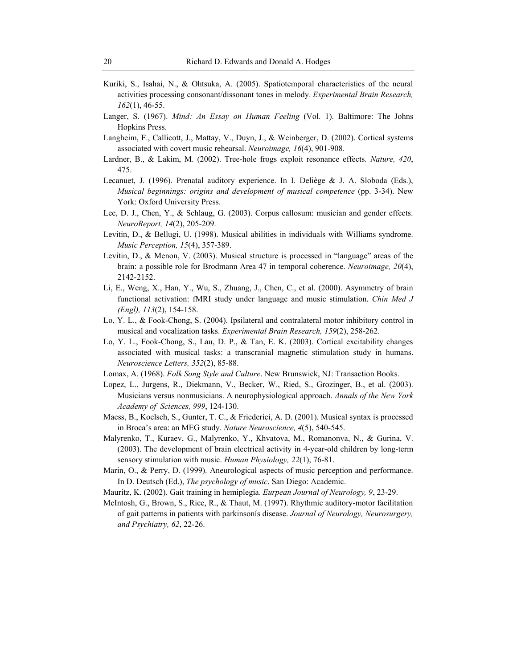- Kuriki, S., Isahai, N., & Ohtsuka, A. (2005). Spatiotemporal characteristics of the neural activities processing consonant/dissonant tones in melody. *Experimental Brain Research, 162*(1), 46-55.
- Langer, S. (1967). *Mind: An Essay on Human Feeling* (Vol. 1). Baltimore: The Johns Hopkins Press.
- Langheim, F., Callicott, J., Mattay, V., Duyn, J., & Weinberger, D. (2002). Cortical systems associated with covert music rehearsal. *Neuroimage, 16*(4), 901-908.
- Lardner, B., & Lakim, M. (2002). Tree-hole frogs exploit resonance effects. *Nature, 420*, 475.
- Lecanuet, J. (1996). Prenatal auditory experience. In I. Deliège & J. A. Sloboda (Eds.), *Musical beginnings: origins and development of musical competence* (pp. 3-34). New York: Oxford University Press.
- Lee, D. J., Chen, Y., & Schlaug, G. (2003). Corpus callosum: musician and gender effects. *NeuroReport, 14*(2), 205-209.
- Levitin, D., & Bellugi, U. (1998). Musical abilities in individuals with Williams syndrome. *Music Perception, 15*(4), 357-389.
- Levitin, D., & Menon, V. (2003). Musical structure is processed in "language" areas of the brain: a possible role for Brodmann Area 47 in temporal coherence. *Neuroimage, 20*(4), 2142-2152.
- Li, E., Weng, X., Han, Y., Wu, S., Zhuang, J., Chen, C., et al. (2000). Asymmetry of brain functional activation: fMRI study under language and music stimulation. *Chin Med J (Engl), 113*(2), 154-158.
- Lo, Y. L., & Fook-Chong, S. (2004). Ipsilateral and contralateral motor inhibitory control in musical and vocalization tasks. *Experimental Brain Research, 159*(2), 258-262.
- Lo, Y. L., Fook-Chong, S., Lau, D. P., & Tan, E. K. (2003). Cortical excitability changes associated with musical tasks: a transcranial magnetic stimulation study in humans. *Neuroscience Letters, 352*(2), 85-88.
- Lomax, A. (1968). *Folk Song Style and Culture*. New Brunswick, NJ: Transaction Books.
- Lopez, L., Jurgens, R., Diekmann, V., Becker, W., Ried, S., Grozinger, B., et al. (2003). Musicians versus nonmusicians. A neurophysiological approach. *Annals of the New York Academy of Sciences, 999*, 124-130.
- Maess, B., Koelsch, S., Gunter, T. C., & Friederici, A. D. (2001). Musical syntax is processed in Broca's area: an MEG study. *Nature Neuroscience, 4*(5), 540-545.
- Malyrenko, T., Kuraev, G., Malyrenko, Y., Khvatova, M., Romanonva, N., & Gurina, V. (2003). The development of brain electrical activity in 4-year-old children by long-term sensory stimulation with music. *Human Physiology, 22*(1), 76-81.
- Marin, O., & Perry, D. (1999). Aneurological aspects of music perception and performance. In D. Deutsch (Ed.), *The psychology of music*. San Diego: Academic.
- Mauritz, K. (2002). Gait training in hemiplegia. *Eurpean Journal of Neurology, 9*, 23-29.
- McIntosh, G., Brown, S., Rice, R., & Thaut, M. (1997). Rhythmic auditory-motor facilitation of gait patterns in patients with parkinsonís disease. *Journal of Neurology, Neurosurgery, and Psychiatry, 62*, 22-26.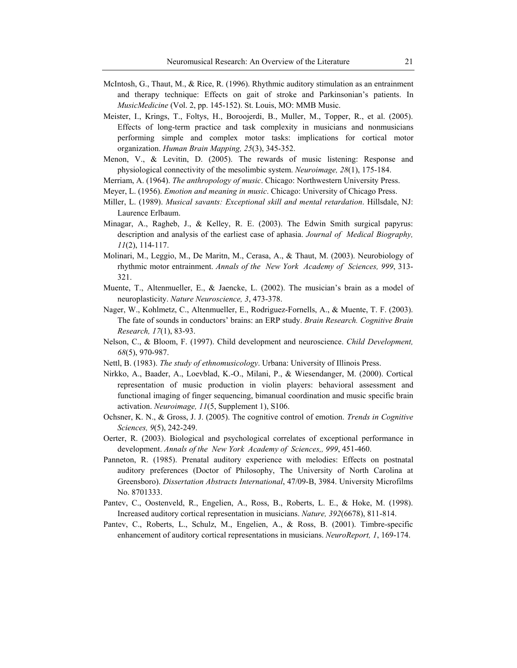- McIntosh, G., Thaut, M., & Rice, R. (1996). Rhythmic auditory stimulation as an entrainment and therapy technique: Effects on gait of stroke and Parkinsonian's patients. In *MusicMedicine* (Vol. 2, pp. 145-152). St. Louis, MO: MMB Music.
- Meister, I., Krings, T., Foltys, H., Boroojerdi, B., Muller, M., Topper, R., et al. (2005). Effects of long-term practice and task complexity in musicians and nonmusicians performing simple and complex motor tasks: implications for cortical motor organization. *Human Brain Mapping, 25*(3), 345-352.
- Menon, V., & Levitin, D. (2005). The rewards of music listening: Response and physiological connectivity of the mesolimbic system. *Neuroimage, 28*(1), 175-184.
- Merriam, A. (1964). *The anthropology of music*. Chicago: Northwestern University Press.
- Meyer, L. (1956). *Emotion and meaning in music*. Chicago: University of Chicago Press.
- Miller, L. (1989). *Musical savants: Exceptional skill and mental retardation*. Hillsdale, NJ: Laurence Erlbaum.
- Minagar, A., Ragheb, J., & Kelley, R. E. (2003). The Edwin Smith surgical papyrus: description and analysis of the earliest case of aphasia. *Journal of Medical Biography, 11*(2), 114-117.
- Molinari, M., Leggio, M., De Maritn, M., Cerasa, A., & Thaut, M. (2003). Neurobiology of rhythmic motor entrainment. *Annals of the New York Academy of Sciences, 999*, 313- 321.
- Muente, T., Altenmueller, E., & Jaencke, L. (2002). The musician's brain as a model of neuroplasticity. *Nature Neuroscience, 3*, 473-378.
- Nager, W., Kohlmetz, C., Altenmueller, E., Rodriguez-Fornells, A., & Muente, T. F. (2003). The fate of sounds in conductors' brains: an ERP study. *Brain Research. Cognitive Brain Research, 17*(1), 83-93.
- Nelson, C., & Bloom, F. (1997). Child development and neuroscience. *Child Development, 68*(5), 970-987.
- Nettl, B. (1983). *The study of ethnomusicology*. Urbana: University of Illinois Press.
- Nirkko, A., Baader, A., Loevblad, K.-O., Milani, P., & Wiesendanger, M. (2000). Cortical representation of music production in violin players: behavioral assessment and functional imaging of finger sequencing, bimanual coordination and music specific brain activation. *Neuroimage, 11*(5, Supplement 1), S106.
- Ochsner, K. N., & Gross, J. J. (2005). The cognitive control of emotion. *Trends in Cognitive Sciences, 9*(5), 242-249.
- Oerter, R. (2003). Biological and psychological correlates of exceptional performance in development. *Annals of the New York Academy of Sciences,, 999*, 451-460.
- Panneton, R. (1985). Prenatal auditory experience with melodies: Effects on postnatal auditory preferences (Doctor of Philosophy, The University of North Carolina at Greensboro). *Dissertation Abstracts International*, 47/09-B, 3984. University Microfilms No. 8701333.
- Pantev, C., Oostenveld, R., Engelien, A., Ross, B., Roberts, L. E., & Hoke, M. (1998). Increased auditory cortical representation in musicians. *Nature, 392*(6678), 811-814.
- Pantev, C., Roberts, L., Schulz, M., Engelien, A., & Ross, B. (2001). Timbre-specific enhancement of auditory cortical representations in musicians. *NeuroReport, 1*, 169-174.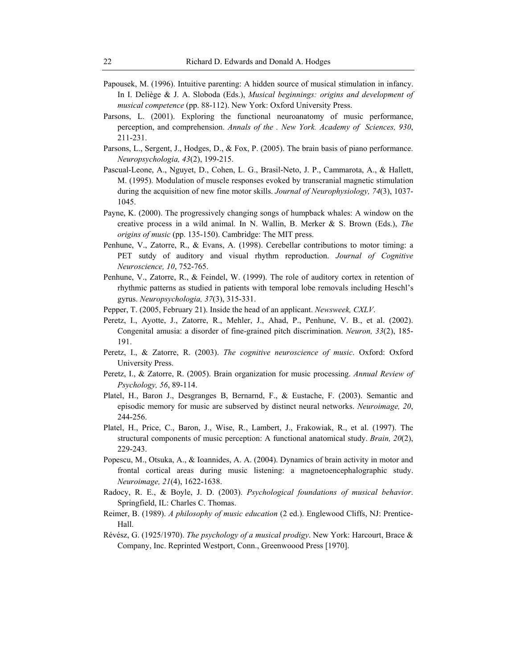- Papousek, M. (1996). Intuitive parenting: A hidden source of musical stimulation in infancy. In I. Deliège & J. A. Sloboda (Eds.), *Musical beginnings: origins and development of musical competence* (pp. 88-112). New York: Oxford University Press.
- Parsons, L. (2001). Exploring the functional neuroanatomy of music performance, perception, and comprehension. *Annals of the . New York. Academy of Sciences, 930*, 211-231.
- Parsons, L., Sergent, J., Hodges, D., & Fox, P. (2005). The brain basis of piano performance. *Neuropsychologia, 43*(2), 199-215.
- Pascual-Leone, A., Nguyet, D., Cohen, L. G., Brasil-Neto, J. P., Cammarota, A., & Hallett, M. (1995). Modulation of muscle responses evoked by transcranial magnetic stimulation during the acquisition of new fine motor skills. *Journal of Neurophysiology, 74*(3), 1037- 1045.
- Payne, K. (2000). The progressively changing songs of humpback whales: A window on the creative process in a wild animal. In N. Wallin, B. Merker & S. Brown (Eds.), *The origins of music* (pp. 135-150). Cambridge: The MIT press.
- Penhune, V., Zatorre, R., & Evans, A. (1998). Cerebellar contributions to motor timing: a PET sutdy of auditory and visual rhythm reproduction. *Journal of Cognitive Neuroscience, 10*, 752-765.
- Penhune, V., Zatorre, R., & Feindel, W. (1999). The role of auditory cortex in retention of rhythmic patterns as studied in patients with temporal lobe removals including Heschl's gyrus. *Neuropsychologia, 37*(3), 315-331.
- Pepper, T. (2005, February 21). Inside the head of an applicant. *Newsweek, CXLV*.
- Peretz, I., Ayotte, J., Zatorre, R., Mehler, J., Ahad, P., Penhune, V. B., et al. (2002). Congenital amusia: a disorder of fine-grained pitch discrimination. *Neuron, 33*(2), 185- 191.
- Peretz, I., & Zatorre, R. (2003). *The cognitive neuroscience of music*. Oxford: Oxford University Press.
- Peretz, I., & Zatorre, R. (2005). Brain organization for music processing. *Annual Review of Psychology, 56*, 89-114.
- Platel, H., Baron J., Desgranges B, Bernarnd, F., & Eustache, F. (2003). Semantic and episodic memory for music are subserved by distinct neural networks. *Neuroimage, 20*, 244-256.
- Platel, H., Price, C., Baron, J., Wise, R., Lambert, J., Frakowiak, R., et al. (1997). The structural components of music perception: A functional anatomical study. *Brain, 20*(2), 229-243.
- Popescu, M., Otsuka, A., & Ioannides, A. A. (2004). Dynamics of brain activity in motor and frontal cortical areas during music listening: a magnetoencephalographic study. *Neuroimage, 21*(4), 1622-1638.
- Radocy, R. E., & Boyle, J. D. (2003). *Psychological foundations of musical behavior*. Springfield, IL: Charles C. Thomas.
- Reimer, B. (1989). *A philosophy of music education* (2 ed.). Englewood Cliffs, NJ: Prentice-Hall.
- Révész, G. (1925/1970). *The psychology of a musical prodigy*. New York: Harcourt, Brace & Company, Inc. Reprinted Westport, Conn., Greenwoood Press [1970].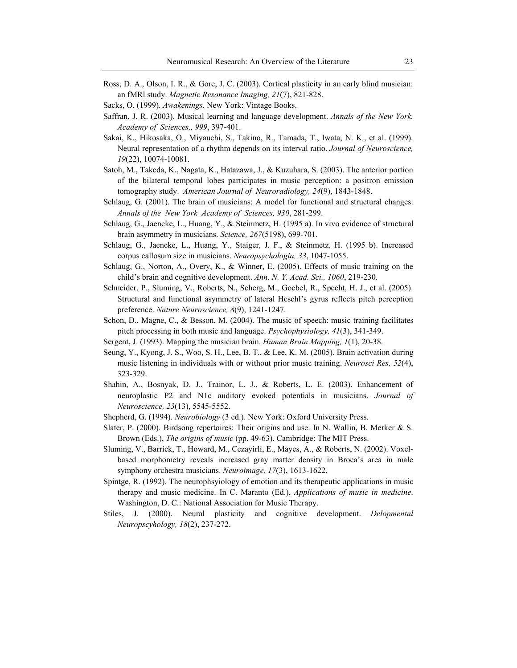- Ross, D. A., Olson, I. R., & Gore, J. C. (2003). Cortical plasticity in an early blind musician: an fMRl study. *Magnetic Resonance Imaging, 21*(7), 821-828.
- Sacks, O. (1999). *Awakenings*. New York: Vintage Books.
- Saffran, J. R. (2003). Musical learning and language development. *Annals of the New York. Academy of Sciences,, 999*, 397-401.
- Sakai, K., Hikosaka, O., Miyauchi, S., Takino, R., Tamada, T., Iwata, N. K., et al. (1999). Neural representation of a rhythm depends on its interval ratio. *Journal of Neuroscience, 19*(22), 10074-10081.
- Satoh, M., Takeda, K., Nagata, K., Hatazawa, J., & Kuzuhara, S. (2003). The anterior portion of the bilateral temporal lobes participates in music perception: a positron emission tomography study. *American Journal of Neuroradiology, 24*(9), 1843-1848.
- Schlaug, G. (2001). The brain of musicians: A model for functional and structural changes. *Annals of the New York Academy of Sciences, 930*, 281-299.
- Schlaug, G., Jaencke, L., Huang, Y., & Steinmetz, H. (1995 a). In vivo evidence of structural brain asymmetry in musicians. *Science, 267*(5198), 699-701.
- Schlaug, G., Jaencke, L., Huang, Y., Staiger, J. F., & Steinmetz, H. (1995 b). Increased corpus callosum size in musicians. *Neuropsychologia, 33*, 1047-1055.
- Schlaug, G., Norton, A., Overy, K., & Winner, E. (2005). Effects of music training on the child's brain and cognitive development. *Ann. N. Y. Acad. Sci., 1060*, 219-230.
- Schneider, P., Sluming, V., Roberts, N., Scherg, M., Goebel, R., Specht, H. J., et al. (2005). Structural and functional asymmetry of lateral Heschl's gyrus reflects pitch perception preference. *Nature Neuroscience, 8*(9), 1241-1247.
- Schon, D., Magne, C., & Besson, M. (2004). The music of speech: music training facilitates pitch processing in both music and language. *Psychophysiology, 41*(3), 341-349.
- Sergent, J. (1993). Mapping the musician brain. *Human Brain Mapping, 1*(1), 20-38.
- Seung, Y., Kyong, J. S., Woo, S. H., Lee, B. T., & Lee, K. M. (2005). Brain activation during music listening in individuals with or without prior music training. *Neurosci Res, 52*(4), 323-329.
- Shahin, A., Bosnyak, D. J., Trainor, L. J., & Roberts, L. E. (2003). Enhancement of neuroplastic P2 and N1c auditory evoked potentials in musicians. *Journal of Neuroscience, 23*(13), 5545-5552.
- Shepherd, G. (1994). *Neurobiology* (3 ed.). New York: Oxford University Press.
- Slater, P. (2000). Birdsong repertoires: Their origins and use. In N. Wallin, B. Merker & S. Brown (Eds.), *The origins of music* (pp. 49-63). Cambridge: The MIT Press.
- Sluming, V., Barrick, T., Howard, M., Cezayirli, E., Mayes, A., & Roberts, N. (2002). Voxelbased morphometry reveals increased gray matter density in Broca's area in male symphony orchestra musicians. *Neuroimage, 17*(3), 1613-1622.
- Spintge, R. (1992). The neurophsyiology of emotion and its therapeutic applications in music therapy and music medicine. In C. Maranto (Ed.), *Applications of music in medicine*. Washington, D. C.: National Association for Music Therapy.
- Stiles, J. (2000). Neural plasticity and cognitive development. *Delopmental Neuropscyhology, 18*(2), 237-272.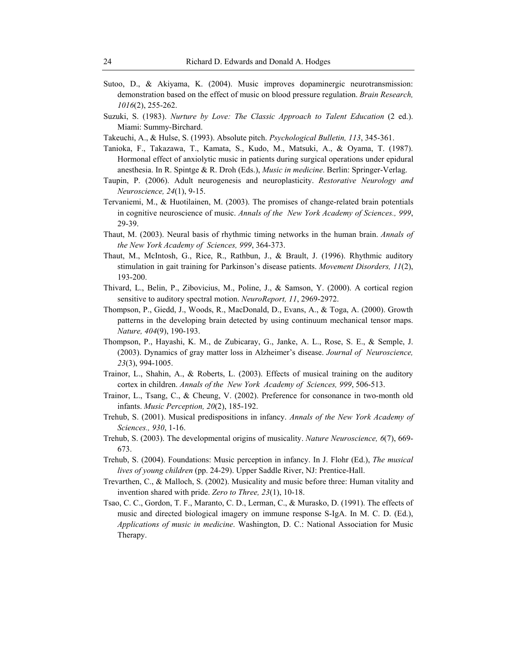- Sutoo, D., & Akiyama, K. (2004). Music improves dopaminergic neurotransmission: demonstration based on the effect of music on blood pressure regulation. *Brain Research, 1016*(2), 255-262.
- Suzuki, S. (1983). *Nurture by Love: The Classic Approach to Talent Education* (2 ed.). Miami: Summy-Birchard.
- Takeuchi, A., & Hulse, S. (1993). Absolute pitch. *Psychological Bulletin, 113*, 345-361.
- Tanioka, F., Takazawa, T., Kamata, S., Kudo, M., Matsuki, A., & Oyama, T. (1987). Hormonal effect of anxiolytic music in patients during surgical operations under epidural anesthesia. In R. Spintge & R. Droh (Eds.), *Music in medicine*. Berlin: Springer-Verlag.
- Taupin, P. (2006). Adult neurogenesis and neuroplasticity. *Restorative Neurology and Neuroscience, 24*(1), 9-15.
- Tervaniemi, M., & Huotilainen, M. (2003). The promises of change-related brain potentials in cognitive neuroscience of music. *Annals of the New York Academy of Sciences., 999*, 29-39.
- Thaut, M. (2003). Neural basis of rhythmic timing networks in the human brain. *Annals of the New York Academy of Sciences, 999*, 364-373.
- Thaut, M., McIntosh, G., Rice, R., Rathbun, J., & Brault, J. (1996). Rhythmic auditory stimulation in gait training for Parkinson's disease patients. *Movement Disorders, 11*(2), 193-200.
- Thivard, L., Belin, P., Zibovicius, M., Poline, J., & Samson, Y. (2000). A cortical region sensitive to auditory spectral motion. *NeuroReport, 11*, 2969-2972.
- Thompson, P., Giedd, J., Woods, R., MacDonald, D., Evans, A., & Toga, A. (2000). Growth patterns in the developing brain detected by using continuum mechanical tensor maps. *Nature, 404*(9), 190-193.
- Thompson, P., Hayashi, K. M., de Zubicaray, G., Janke, A. L., Rose, S. E., & Semple, J. (2003). Dynamics of gray matter loss in Alzheimer's disease. *Journal of Neuroscience, 23*(3), 994-1005.
- Trainor, L., Shahin, A., & Roberts, L. (2003). Effects of musical training on the auditory cortex in children. *Annals of the New York Academy of Sciences, 999*, 506-513.
- Trainor, L., Tsang, C., & Cheung, V. (2002). Preference for consonance in two-month old infants. *Music Perception, 20*(2), 185-192.
- Trehub, S. (2001). Musical predispositions in infancy. *Annals of the New York Academy of Sciences., 930*, 1-16.
- Trehub, S. (2003). The developmental origins of musicality. *Nature Neuroscience, 6*(7), 669- 673.
- Trehub, S. (2004). Foundations: Music perception in infancy. In J. Flohr (Ed.), *The musical lives of young children* (pp. 24-29). Upper Saddle River, NJ: Prentice-Hall.
- Trevarthen, C., & Malloch, S. (2002). Musicality and music before three: Human vitality and invention shared with pride. *Zero to Three, 23*(1), 10-18.
- Tsao, C. C., Gordon, T. F., Maranto, C. D., Lerman, C., & Murasko, D. (1991). The effects of music and directed biological imagery on immune response S-IgA. In M. C. D. (Ed.), *Applications of music in medicine*. Washington, D. C.: National Association for Music Therapy.